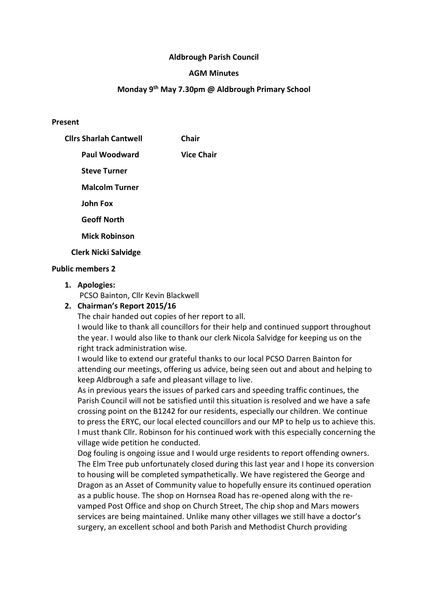## Aldbrough Parish Council

### AGM Minutes

## Monday 9th May 7.30pm @ Aldbrough Primary School

#### Present

| <b>Clirs Sharlah Cantwell</b> | <b>Chair</b>      |
|-------------------------------|-------------------|
| Paul Woodward                 | <b>Vice Chair</b> |
| <b>Steve Turner</b>           |                   |
| <b>Malcolm Turner</b>         |                   |
| <b>John Fox</b>               |                   |
| <b>Geoff North</b>            |                   |
| <b>Mick Robinson</b>          |                   |
| <b>Clerk Nicki Salvidge</b>   |                   |

# Public members 2

1. Apologies:

PCSO Bainton, Cllr Kevin Blackwell

## 2. Chairman's Report 2015/16

The chair handed out copies of her report to all.

I would like to thank all councillors for their help and continued support throughout the year. I would also like to thank our clerk Nicola Salvidge for keeping us on the right track administration wise.

I would like to extend our grateful thanks to our local PCSO Darren Bainton for attending our meetings, offering us advice, being seen out and about and helping to keep Aldbrough a safe and pleasant village to live.

As in previous years the issues of parked cars and speeding traffic continues, the Parish Council will not be satisfied until this situation is resolved and we have a safe crossing point on the B1242 for our residents, especially our children. We continue to press the ERYC, our local elected councillors and our MP to help us to achieve this. I must thank Cllr. Robinson for his continued work with this especially concerning the village wide petition he conducted.

Dog fouling is ongoing issue and I would urge residents to report offending owners. The Elm Tree pub unfortunately closed during this last year and I hope its conversion to housing will be completed sympathetically. We have registered the George and Dragon as an Asset of Community value to hopefully ensure its continued operation as a public house. The shop on Hornsea Road has re-opened along with the revamped Post Office and shop on Church Street, The chip shop and Mars mowers services are being maintained. Unlike many other villages we still have a doctor's surgery, an excellent school and both Parish and Methodist Church providing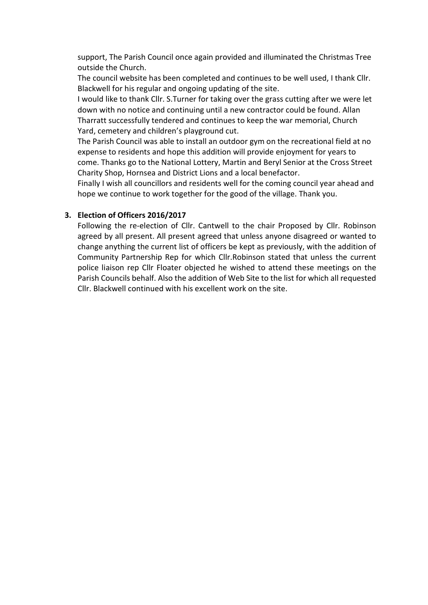support, The Parish Council once again provided and illuminated the Christmas Tree outside the Church.

The council website has been completed and continues to be well used, I thank Cllr. Blackwell for his regular and ongoing updating of the site.

I would like to thank Cllr. S.Turner for taking over the grass cutting after we were let down with no notice and continuing until a new contractor could be found. Allan Tharratt successfully tendered and continues to keep the war memorial, Church Yard, cemetery and children's playground cut.

The Parish Council was able to install an outdoor gym on the recreational field at no expense to residents and hope this addition will provide enjoyment for years to come. Thanks go to the National Lottery, Martin and Beryl Senior at the Cross Street Charity Shop, Hornsea and District Lions and a local benefactor.

Finally I wish all councillors and residents well for the coming council year ahead and hope we continue to work together for the good of the village. Thank you.

## 3. Election of Officers 2016/2017

Following the re-election of Cllr. Cantwell to the chair Proposed by Cllr. Robinson agreed by all present. All present agreed that unless anyone disagreed or wanted to change anything the current list of officers be kept as previously, with the addition of Community Partnership Rep for which Cllr.Robinson stated that unless the current police liaison rep Cllr Floater objected he wished to attend these meetings on the Parish Councils behalf. Also the addition of Web Site to the list for which all requested Cllr. Blackwell continued with his excellent work on the site.